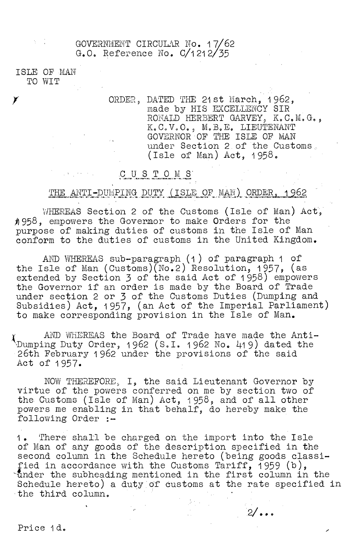GOVERNMENT CIRCULAR No. 17/62 G.O. Reference No.  $C/1212/35$ 

ISLE OF MAN TO WIT

Y

ORDER, DATED THE 21st March, 1962, made by HIS EXCELLENCY SIR RONATn HERBERT GARVEY, K.C.M.G., K.C.V.O., M.B.E. LIEUTENANT GOVERNOR OF THE ISLE OF MAN under Section 2 of the Customs (Isle of Man) Act, 1958.

## C u s T o

## THE ANTI-DUMPING DUTY (ISLE OF MAN) ORDER, 1962

WHEREAS Section 2 of the Customs (Isle of Man) Act, 11958, empowers the Governor to make Orders for the purpose of making duties of customs in the Isle of Man conform to the duties of customs in the United Kingdom.

AND WHEREAS sub-paragraph (1) of paragraph 1 of the Isle of Man (Customs)(No.2) Resolution, 1957, (as extended by Section 3 of the said Act of 1958) empowers the Governor if an order is made by the Board of Trade under section 2 or 3 of the Customs Duties (Dumping and Subsidies) Act, 1957, (an Act of the Imperial Parliament) to make corresponding provision in the Isle of Man.

AND WHEREAS the Board of Trade have made the Anti- ',Dumping Duty Order, 1962 (S.I. 1 962 No. 419) dated the 26th February 1962 under the provisions of the said Act of 1957.

NOW THEREFORE, I, the said Lieutenant Governor by virtue of the powers conferred on me by section two of the Customs (Isle of Man) Act, 1958, and of all other powers me enabling in that behalf, do hereby make the following Order :-

1. There shall be charged on the import into the Isle of Man of any goods of the description specified in the second column in the Schedule hereto (being goods classified in accordance with the Customs Tariff, 1959 (b),  $\mathbf{u}_1$  the subheading mentioned in the first column in the Schedule hereto) a duty of customs at the rate specified in the third column.

 $2/\bullet \bullet \bullet$ 

Price 1d.